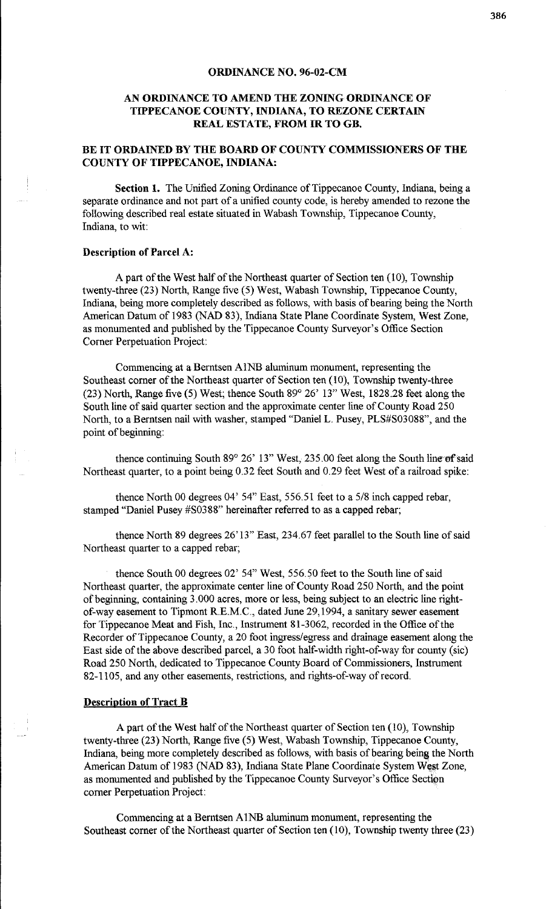#### **ORDINANCE NO. 96-02-CM**

## **AN ORDINANCE TO AMEND THE ZONING ORDINANCE OF TIPPECANOE COUNTY, INDIANA, TO REZONE CERTAIN REAL ESTATE, FROM IR TO GB.**

# **BE IT ORDAINED BY THE BOARD OF COUNTY COMMISSIONERS OF THE COUNTY OF TIPPECANOE, INDIANA:**

**Section 1.** The Unified Zoning Ordinance of Tippecanoe County, Indiana, being a separate ordinance and not part of a unified county code, is hereby amended to rezone the following described real estate situated in Wabash Township, Tippecanoe County, Indiana, to wit:

### **Description of Parcel A:**

A part of the West half of the Northeast quarter of Section ten (10), Township twenty-three (23) North, Range five (5) West, Wabash Township, Tippecanoe County, Indiana, being more completely described as follows, with basis of bearing being the North American Datum of 1983 (NAD 83), Indiana State Plane Coordinate System, West Zone, as monumented and published by the Tippecanoe County Surveyor's Office Section Corner Perpetuation Project:

Commencing at a Berntsen Al NB aluminum monument, representing the Southeast comer of the Northeast quarter of Section ten (10), Township twenty-three (23) North, Range five (5) West; thence South 89° 26' 13" West, 1828.28 feet along the South line of said quarter section and the approximate center line of County Road 250 North, to a Berntsen nail with washer, stamped "Daniel L. Pusey, PLS#S03088", and the point of beginning:

thence continuing South 89° 26' 13" West, 235.00 feet along the South line of said Northeast quarter, to a point being 0.32 feet South and 0.29 feet West of a railroad spike:

thence North 00 degrees 04' 54" East, 556.51 feet to a 5/8 inch capped rebar, stamped "Daniel Pusey #S03 88" hereinafter referred to as a capped rebar;

thence North 89 degrees 26' 13" East, 234.67 feet parallel to the South line of said Northeast quarter to a capped rebar;

thence South 00 degrees 02' 54" West, 556.50 feet to the South line of said Northeast quarter, the approximate center line of County Road 250 North, and the point of' beginning, containing 3.000 acres, more or less, being subject to an electric line rightof-way easement to Tipmont R.E.M.C., dated June 29, 1994, a sanitary sewer easement for Tippecanoe Meat and Fish, Inc., Instrument 81-3062, recorded in the Office of the Recorder of Tippecanoe County, a 20 foot ingress/egress and drainage easement along the East side of the above described parcel, a 30 foot half-width right-of-way for county (sic) Road 250 North, dedicated to Tippecanoe County Board of Commissioners, Instrument 82-1105, and any other easements, restrictions, and rights-of-way of record.

### **Description of Tract B**

A part of the West half of the Northeast quarter of Section ten (10), Township twenty-three (23) North, Range five (5) West, Wabash Township, Tippecanoe County, Indiana, being more completely described as follows, with basis of bearing being the North American Datum of 1983 (NAD 83), Indiana State Plane Coordinate System West Zone, as monumented and published by the Tippecanoe County Surveyor's Office Section comer Perpetuation Project:

Commencing at a Berntsen Al NB aluminum monument, representing the Southeast comer of the Northeast quarter of Section ten (10), Township twenty three (23)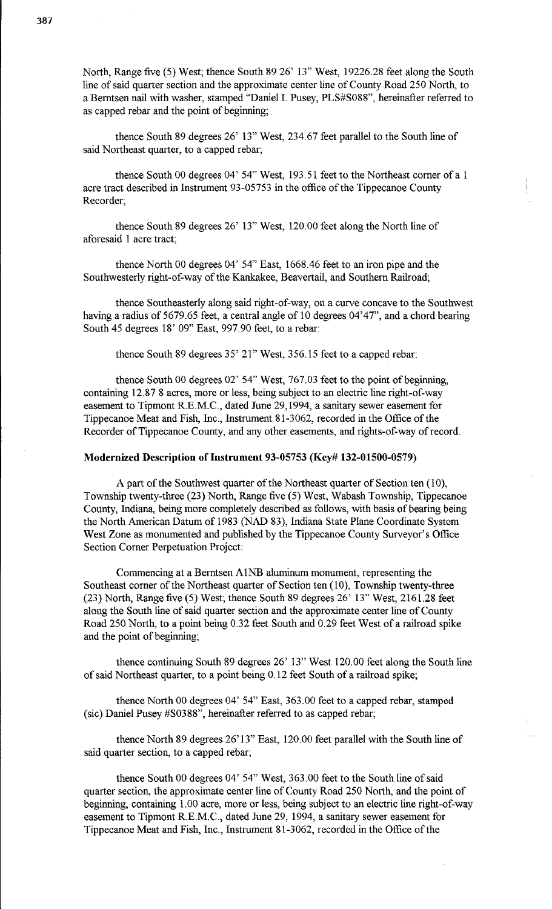North, Range five (5) West; thence South 89 26' 13" West, 19226.28 feet along the South line of said quarter section and the approximate center line of County Road 250 North, to a Berntsen nail with washer, stamped "Daniel I. Pusey, PLS#S088", hereinafter referred to as capped rebar and the point of beginning;

thence South 89 degrees 26' 13" West, 234.67 feet parallel to the South line of said Northeast quarter, to a capped rebar;

thence South 00 degrees 04' 54" West, 193.51 feet to the Northeast corner of a 1 acre tract described in Instrument 93-05753 in the office of the Tippecanoe County Recorder;

thence South 89 degrees 26' 13" West, 120.00 feet along the North line of aforesaid 1 acre tract;

thence North 00 degrees 04' 54" East, 1668.46 feet to an iron pipe and the Southwesterly right-of-way of the Kankakee, Beavertail, and Southern Railroad;

thence Southeasterly along said right-of-way, on a curve concave to the Southwest having a radius of 5679.65 feet, a central angle of 10 degrees 04'47", and a chord bearing South 45 degrees 18' 09" East, 997.90 feet, to a rebar:

thence South 89 degrees 35' 21" West, 356.15 feet to a capped rebar:

thence South 00 degrees 02' 54" West, 767.03 feet to the point of beginning, containing 12.87 8 acres, more or less, being subject to an electric line right-of-way easement to Tipmont R.E.M.C., dated June 29,1994, a sanitary sewer easement for Tippecanoe Meat and Fish, Inc., Instrument 81-3062, recorded in the Office of the Recorder of Tippecanoe County, and any other easements, and rights-of-way of record.

## **Modernized Description of Instrument 93-05753 (Key# 132-01500-0579)**

A part of the Southwest quarter of the Northeast quarter of Section ten (10), Township twenty-three (23) North, Range five (5) West, Wabash Township, Tippecanoe County, Indiana, being more completely described as follows, with basis of bearing being the North American Datum of 1983 (NAD 83), Indiana State Plane Coordinate System West Zone as monumented and published by the Tippecanoe County Surveyor's Office Section Corner Perpetuation Project:

Commencing at a Berntsen AlNB aluminum monument, representing the Southeast corner of the Northeast quarter of Section ten (10), Township twenty-three (23) North, Range five (5) West; thence South 89 degrees 26' 13" West, 2161.28 feet along the South line of said quarter section and the approximate center line of County Road 250 North, to a point being 0.32 feet South and 0.29 feet West of a railroad spike and the point of beginning;

thence continuing South 89 degrees 26' 13" West 120.00 feet along the South line of said Northeast quarter, to a point being 0.12 feet South of a railroad spike;

thence North 00 degrees 04' 54" East, 363.00 feet to a capped rebar, stamped (sic) Daniel Pusey #S03 88", hereinafter referred to as capped rebar;

thence North 89 degrees 26'13" East, 120.00 feet parallel with the South line of said quarter section, to a capped rebar;

thence South 00 degrees 04' 54" West, 363.00 feet to the South line of said quarter section, the approximate center line of County Road 250 North, and the point of beginning, containing 1.00 acre, more or less, being subject to an electric line right-of-way easement to Tipmont R.E.M.C., dated June 29, 1994, a sanitary sewer easement for Tippecanoe Meat and Fish, Inc., Instrument 81-3062, recorded in the Office of the